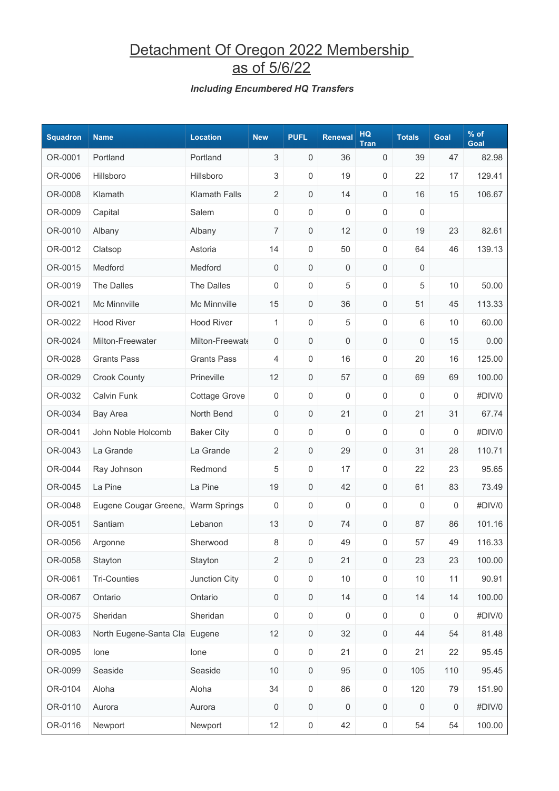## Detachment Of Oregon 2022 Membership as of 5/6/22

#### *Including Encumbered HQ Transfers*

| <b>Squadron</b> | <b>Name</b>                        | <b>Location</b>      | <b>New</b>          | <b>PUFL</b>         | <b>Renewal</b>      | <b>HQ</b><br><b>Tran</b> | <b>Totals</b>    | Goal    | $%$ of<br>Goal |
|-----------------|------------------------------------|----------------------|---------------------|---------------------|---------------------|--------------------------|------------------|---------|----------------|
| OR-0001         | Portland                           | Portland             | 3                   | $\mathsf{O}\xspace$ | 36                  | 0                        | 39               | 47      | 82.98          |
| OR-0006         | Hillsboro                          | Hillsboro            | 3                   | $\mathsf{O}\xspace$ | 19                  | 0                        | 22               | 17      | 129.41         |
| OR-0008         | Klamath                            | <b>Klamath Falls</b> | $\overline{2}$      | 0                   | 14                  | 0                        | 16               | 15      | 106.67         |
| OR-0009         | Capital                            | Salem                | 0                   | $\mathsf{O}\xspace$ | 0                   | 0                        | 0                |         |                |
| OR-0010         | Albany                             | Albany               | $\overline{7}$      | $\mathsf{O}\xspace$ | 12                  | 0                        | 19               | 23      | 82.61          |
| OR-0012         | Clatsop                            | Astoria              | 14                  | 0                   | 50                  | 0                        | 64               | 46      | 139.13         |
| OR-0015         | Medford                            | Medford              | 0                   | $\mathsf{O}\xspace$ | 0                   | 0                        | $\mathbf 0$      |         |                |
| OR-0019         | The Dalles                         | The Dalles           | 0                   | $\mathsf{O}\xspace$ | 5                   | 0                        | 5                | 10      | 50.00          |
| OR-0021         | Mc Minnville                       | Mc Minnville         | 15                  | $\mathsf{O}\xspace$ | 36                  | 0                        | 51               | 45      | 113.33         |
| OR-0022         | <b>Hood River</b>                  | <b>Hood River</b>    | 1                   | $\mathsf{O}\xspace$ | 5                   | 0                        | 6                | 10      | 60.00          |
| OR-0024         | Milton-Freewater                   | Milton-Freewate      | 0                   | $\mathsf{O}\xspace$ | 0                   | 0                        | 0                | 15      | 0.00           |
| OR-0028         | <b>Grants Pass</b>                 | <b>Grants Pass</b>   | 4                   | $\mathsf{O}\xspace$ | 16                  | 0                        | 20               | 16      | 125.00         |
| OR-0029         | <b>Crook County</b>                | Prineville           | 12                  | 0                   | 57                  | 0                        | 69               | 69      | 100.00         |
| OR-0032         | Calvin Funk                        | <b>Cottage Grove</b> | 0                   | $\mathbf 0$         | 0                   | 0                        | 0                | 0       | #DIV/0         |
| OR-0034         | <b>Bay Area</b>                    | North Bend           | 0                   | 0                   | 21                  | 0                        | 21               | 31      | 67.74          |
| OR-0041         | John Noble Holcomb                 | <b>Baker City</b>    | 0                   | $\mathsf{O}\xspace$ | 0                   | 0                        | 0                | 0       | #DIV/0         |
| OR-0043         | La Grande                          | La Grande            | $\overline{2}$      | $\mathsf{O}\xspace$ | 29                  | 0                        | 31               | 28      | 110.71         |
| OR-0044         | Ray Johnson                        | Redmond              | 5                   | 0                   | 17                  | 0                        | 22               | 23      | 95.65          |
| OR-0045         | La Pine                            | La Pine              | 19                  | 0                   | 42                  | 0                        | 61               | 83      | 73.49          |
| OR-0048         | Eugene Cougar Greene, Warm Springs |                      | 0                   | $\mathsf{O}\xspace$ | 0                   | 0                        | 0                | 0       | #DIV/0         |
| OR-0051         | Santiam                            | Lebanon              | 13                  | 0                   | 74                  | 0                        | 87               | 86      | 101.16         |
| OR-0056         | Argonne                            | Sherwood             | 8                   | 0                   | 49                  | 0                        | 57               | 49      | 116.33         |
| OR-0058         | Stayton                            | Stayton              | $\overline{2}$      | $\mathsf{O}\xspace$ | 21                  | $\mathsf{O}\xspace$      | 23               | 23      | 100.00         |
| OR-0061         | <b>Tri-Counties</b>                | Junction City        | $\mathsf{O}\xspace$ | $\mathsf{O}\xspace$ | 10                  | $\mathsf{O}\xspace$      | $10$             | 11      | 90.91          |
| OR-0067         | Ontario                            | Ontario              | $\mathsf{O}\xspace$ | $\mathsf 0$         | 14                  | 0                        | 14               | 14      | 100.00         |
| OR-0075         | Sheridan                           | Sheridan             | $\boldsymbol{0}$    | $\mathsf 0$         | 0                   | $\mathsf 0$              | $\boldsymbol{0}$ | 0       | #DIV/0         |
| OR-0083         | North Eugene-Santa Cla Eugene      |                      | 12                  | $\mathsf{O}\xspace$ | 32                  | $\mathsf{O}\xspace$      | 44               | 54      | 81.48          |
| OR-0095         | lone                               | lone                 | $\boldsymbol{0}$    | $\mathsf{O}\xspace$ | 21                  | $\mathsf 0$              | 21               | 22      | 95.45          |
| OR-0099         | Seaside                            | Seaside              | $10$                | $\mathsf 0$         | 95                  | $\mathsf{O}\xspace$      | 105              | 110     | 95.45          |
| OR-0104         | Aloha                              | Aloha                | 34                  | $\mathsf{O}\xspace$ | 86                  | $\mathsf{O}\xspace$      | 120              | 79      | 151.90         |
| OR-0110         | Aurora                             | Aurora               | $\,0\,$             | $\mathsf{O}\xspace$ | $\mathsf{O}\xspace$ | $\mathsf{O}\xspace$      | $\boldsymbol{0}$ | $\,0\,$ | #DIV/0         |
| OR-0116         | Newport                            | Newport              | 12                  | $\mathsf{O}\xspace$ | 42                  | $\boldsymbol{0}$         | 54               | 54      | 100.00         |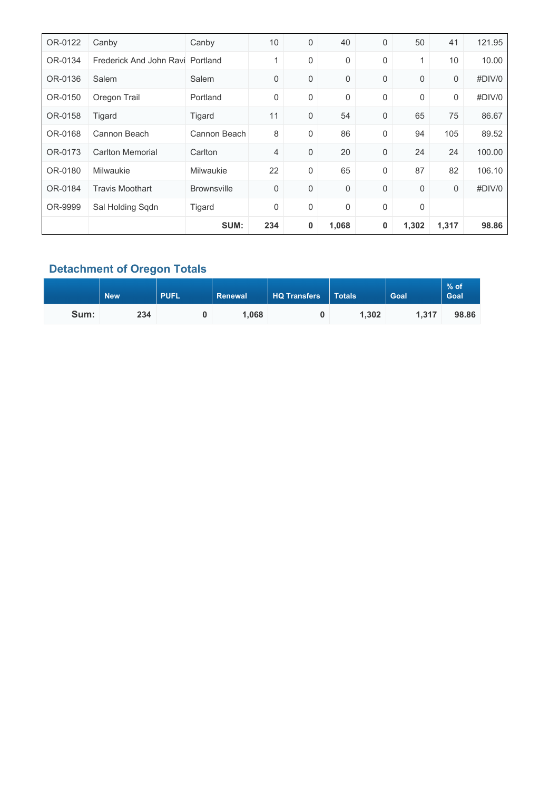| OR-0122 | Canby                            | Canby              | 10  | 0                | 40    | 0 | 50          | 41    | 121.95 |
|---------|----------------------------------|--------------------|-----|------------------|-------|---|-------------|-------|--------|
| OR-0134 | Frederick And John Ravi Portland |                    | 1   | $\mathbf 0$      | 0     | 0 | 1           | 10    | 10.00  |
| OR-0136 | Salem                            | Salem              | 0   | $\mathbf 0$      | 0     | 0 | 0           | 0     | #DIV/0 |
| OR-0150 | Oregon Trail                     | Portland           | 0   | $\boldsymbol{0}$ | 0     | 0 | 0           | 0     | #DIV/0 |
| OR-0158 | Tigard                           | Tigard             | 11  | $\mathbf 0$      | 54    | 0 | 65          | 75    | 86.67  |
| OR-0168 | Cannon Beach                     | Cannon Beach       | 8   | $\mathbf 0$      | 86    | 0 | 94          | 105   | 89.52  |
| OR-0173 | <b>Carlton Memorial</b>          | Carlton            | 4   | $\mathbf 0$      | 20    | 0 | 24          | 24    | 100.00 |
| OR-0180 | <b>Milwaukie</b>                 | Milwaukie          | 22  | $\boldsymbol{0}$ | 65    | 0 | 87          | 82    | 106.10 |
| OR-0184 | <b>Travis Moothart</b>           | <b>Brownsville</b> | 0   | $\mathbf 0$      | 0     | 0 | 0           | 0     | #DIV/0 |
| OR-9999 | Sal Holding Sqdn                 | Tigard             | 0   | $\boldsymbol{0}$ | 0     | 0 | $\mathbf 0$ |       |        |
|         |                                  | SUM:               | 234 | 0                | 1,068 | 0 | 1,302       | 1,317 | 98.86  |

### **Detachment of Oregon Totals**

|      | <b>New</b> | <b>PUFL</b> | Renewal | <b>HQ Transfers</b> | <b>Totals</b> | Goal  | $%$ of<br><b>Goal</b> |
|------|------------|-------------|---------|---------------------|---------------|-------|-----------------------|
| Sum: | 234        |             | 1,068   |                     | 1,302         | 1.317 | 98.86                 |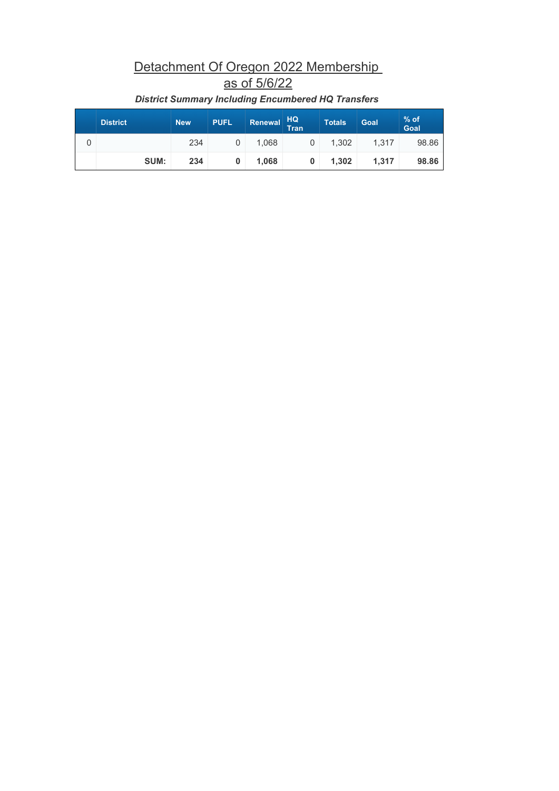## Detachment Of Oregon 2022 Membership as of 5/6/22

| <b>District</b> | <b>New</b> | <b>PUFL</b> | Renewal | HQ<br>Tran | <b>Totals</b> | Goal  | $%$ of<br>Goal |
|-----------------|------------|-------------|---------|------------|---------------|-------|----------------|
|                 | 234        |             | 1,068   |            | 1,302         | 1.317 | 98.86          |
| SUM:            | 234        |             | 1,068   | 0          | 1,302         | 1.317 | 98.86          |

#### *District Summary Including Encumbered HQ Transfers*